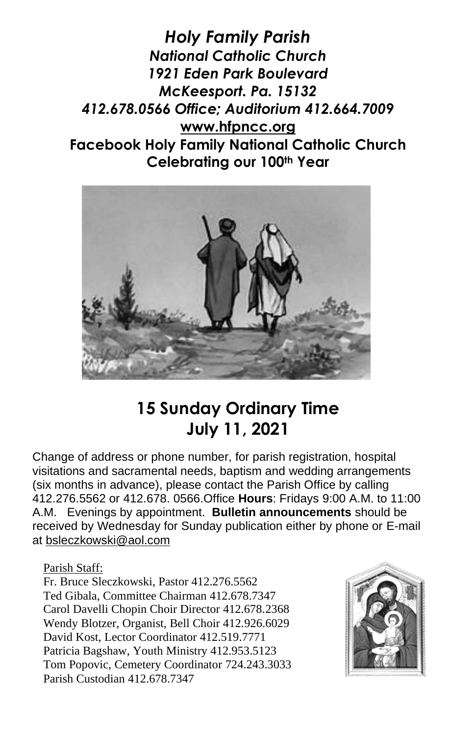*Holy Family Parish National Catholic Church 1921 Eden Park Boulevard McKeesport. Pa. 15132 412.678.0566 Office; Auditorium 412.664.7009* **[www.hfpncc.org](http://www.hfpncc.org/) Facebook Holy Family National Catholic Church Celebrating our 100th Year**



## **15 Sunday Ordinary Time July 11, 2021**

Change of address or phone number, for parish registration, hospital visitations and sacramental needs, baptism and wedding arrangements (six months in advance), please contact the Parish Office by calling 412.276.5562 or 412.678. 0566.Office **Hours**: Fridays 9:00 A.M. to 11:00 A.M. Evenings by appointment. **Bulletin announcements** should be received by Wednesday for Sunday publication either by phone or E-mail at [bsleczkowski@aol.com](mailto:bsleczkowski@aol.com)

Parish Staff:

Fr. Bruce Sleczkowski, Pastor 412.276.5562 Ted Gibala, Committee Chairman 412.678.7347 Carol Davelli Chopin Choir Director 412.678.2368 Wendy Blotzer, Organist, Bell Choir 412.926.6029 David Kost, Lector Coordinator 412.519.7771 Patricia Bagshaw, Youth Ministry 412.953.5123 Tom Popovic, Cemetery Coordinator 724.243.3033 Parish Custodian 412.678.7347

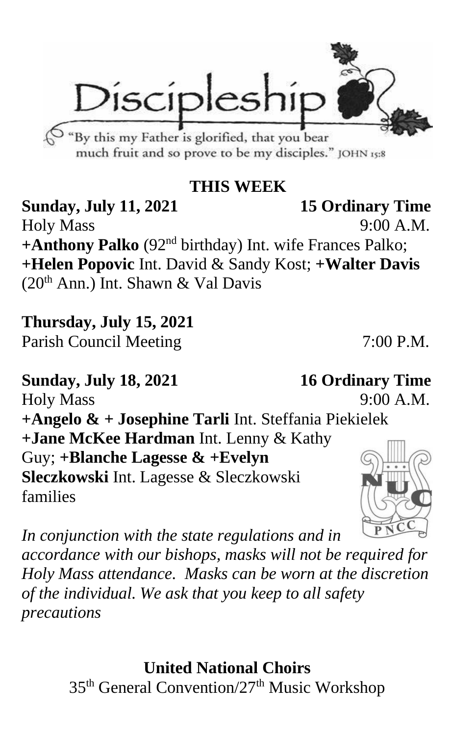Discipleshi <sup>3</sup> "By this my Father is glorified, that you bear

much fruit and so prove to be my disciples." JOHN 15:8

## **THIS WEEK**

**Sunday, July 11, 2021 15 Ordinary Time** Holy Mass 9:00 A.M. **+Anthony Palko** (92nd birthday) Int. wife Frances Palko; **+Helen Popovic** Int. David & Sandy Kost; **+Walter Davis**  $(20<sup>th</sup> Ann.)$  Int. Shawn & Val Davis

**Thursday, July 15, 2021** Parish Council Meeting 7:00 P.M.

**Sunday, July 18, 2021 16 Ordinary Time** Holy Mass 9:00 A.M. **+Angelo & + Josephine Tarli** Int. Steffania Piekielek **+Jane McKee Hardman** Int. Lenny & Kathy Guy; **+Blanche Lagesse & +Evelyn Sleczkowski** Int. Lagesse & Sleczkowski families

*In conjunction with the state regulations and in* 

*accordance with our bishops, masks will not be required for Holy Mass attendance. Masks can be worn at the discretion of the individual. We ask that you keep to all safety precautions*

> **United National Choirs** 35th General Convention/27th Music Workshop

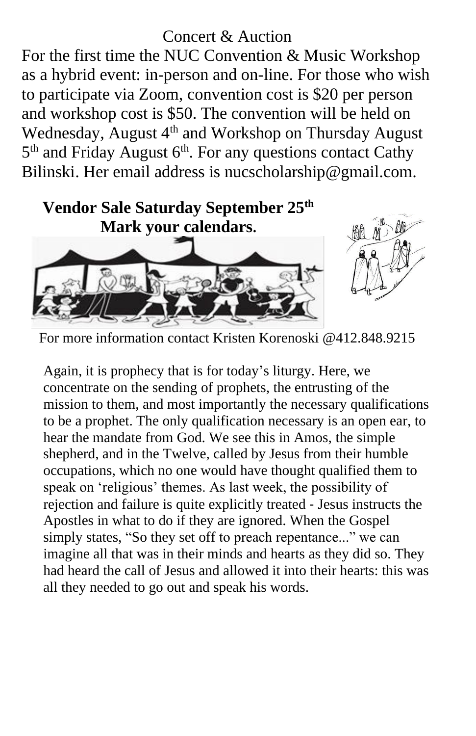## Concert & Auction

For the first time the NUC Convention & Music Workshop as a hybrid event: in-person and on-line. For those who wish to participate via Zoom, convention cost is \$20 per person and workshop cost is \$50. The convention will be held on Wednesday, August 4<sup>th</sup> and Workshop on Thursday August 5<sup>th</sup> and Friday August 6<sup>th</sup>. For any questions contact Cathy Bilinski. Her email address is nucscholarship@gmail.com.



For more information contact Kristen Korenoski @412.848.9215

Again, it is prophecy that is for today's liturgy. Here, we concentrate on the sending of prophets, the entrusting of the mission to them, and most importantly the necessary qualifications to be a prophet. The only qualification necessary is an open ear, to hear the mandate from God. We see this in Amos, the simple shepherd, and in the Twelve, called by Jesus from their humble occupations, which no one would have thought qualified them to speak on 'religious' themes. As last week, the possibility of rejection and failure is quite explicitly treated ‑ Jesus instructs the Apostles in what to do if they are ignored. When the Gospel simply states, "So they set off to preach repentance..." we can imagine all that was in their minds and hearts as they did so. They had heard the call of Jesus and allowed it into their hearts: this was all they needed to go out and speak his words.